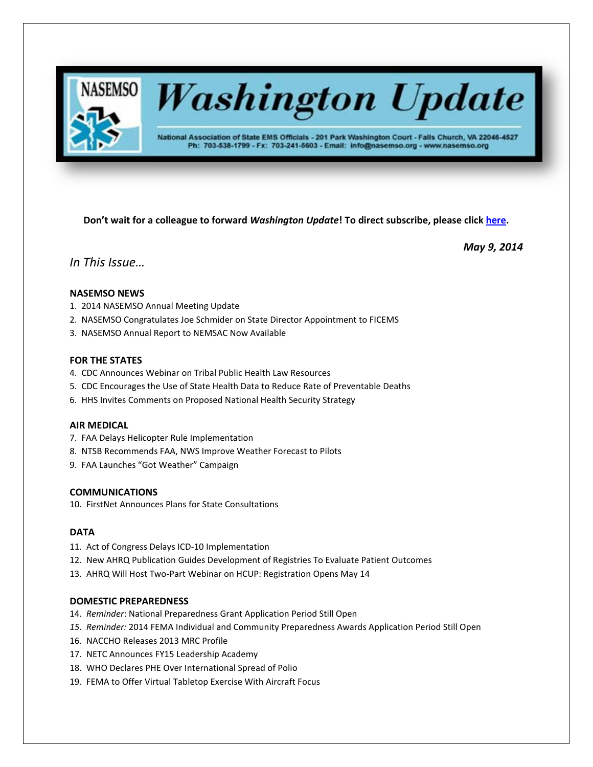

# **Washington Update**

National Association of State EMS Officials - 201 Park Washington Court - Falls Church, VA 22046-4527 Ph: 703-538-1799 - Fx: 703-241-5603 - Email: info@nasemso.org - www.nasemso.org

**Don't wait for a colleague to forward** *Washington Update***! To direct subscribe, please click [here.](http://lists.nasemso.org/read/all_forums/subscribe?name=wu%20)**

*May 9, 2014*

*In This Issue…*

# **NASEMSO NEWS**

- 1. 2014 NASEMSO Annual Meeting Update
- 2. NASEMSO Congratulates Joe Schmider on State Director Appointment to FICEMS
- 3. NASEMSO Annual Report to NEMSAC Now Available

# **FOR THE STATES**

- 4. CDC Announces Webinar on Tribal Public Health Law Resources
- 5. CDC Encourages the Use of State Health Data to Reduce Rate of Preventable Deaths
- 6. HHS Invites Comments on Proposed National Health Security Strategy

# **AIR MEDICAL**

- 7. FAA Delays Helicopter Rule Implementation
- 8. NTSB Recommends FAA, NWS Improve Weather Forecast to Pilots
- 9. FAA Launches "Got Weather" Campaign

# **COMMUNICATIONS**

10. FirstNet Announces Plans for State Consultations

# **DATA**

- 11. Act of Congress Delays ICD-10 Implementation
- 12. New AHRQ Publication Guides Development of Registries To Evaluate Patient Outcomes
- 13. AHRQ Will Host Two-Part Webinar on HCUP: Registration Opens May 14

# **DOMESTIC PREPAREDNESS**

- 14. *Reminder*: National Preparedness Grant Application Period Still Open
- *15. Reminder:* 2014 FEMA Individual and Community Preparedness Awards Application Period Still Open
- 16. NACCHO Releases 2013 MRC Profile
- 17. NETC Announces FY15 Leadership Academy
- 18. WHO Declares PHE Over International Spread of Polio
- 19. FEMA to Offer Virtual Tabletop Exercise With Aircraft Focus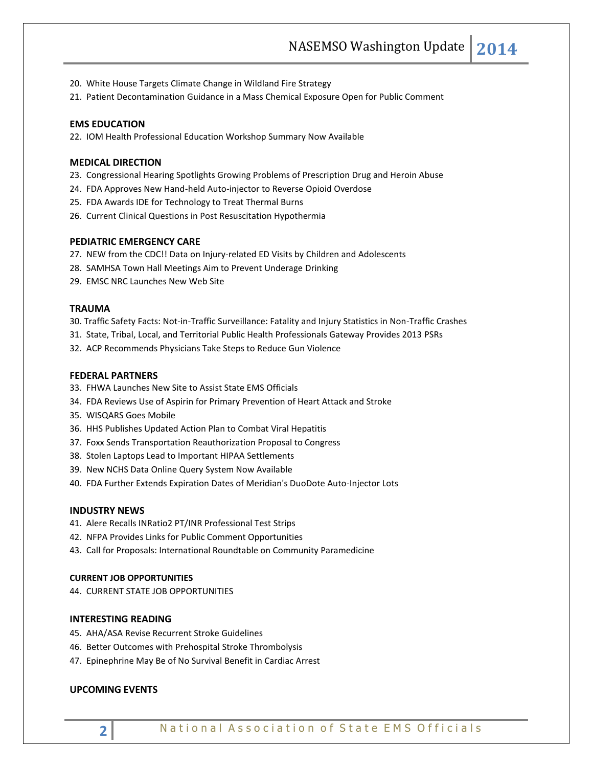- 20. White House Targets Climate Change in Wildland Fire Strategy
- 21. Patient Decontamination Guidance in a Mass Chemical Exposure Open for Public Comment

#### **EMS EDUCATION**

22. IOM Health Professional Education Workshop Summary Now Available

#### **MEDICAL DIRECTION**

- 23. Congressional Hearing Spotlights Growing Problems of Prescription Drug and Heroin Abuse
- 24. FDA Approves New Hand-held Auto-injector to Reverse Opioid Overdose
- 25. FDA Awards IDE for Technology to Treat Thermal Burns
- 26. Current Clinical Questions in Post Resuscitation Hypothermia

#### **PEDIATRIC EMERGENCY CARE**

- 27. NEW from the CDC!! Data on Injury-related ED Visits by Children and Adolescents
- 28. SAMHSA Town Hall Meetings Aim to Prevent Underage Drinking
- 29. EMSC NRC Launches New Web Site

#### **TRAUMA**

30. Traffic Safety Facts: Not-in-Traffic Surveillance: Fatality and Injury Statistics in Non-Traffic Crashes

- 31. State, Tribal, Local, and Territorial Public Health Professionals Gateway Provides 2013 PSRs
- 32. ACP Recommends Physicians Take Steps to Reduce Gun Violence

#### **FEDERAL PARTNERS**

- 33. FHWA Launches New Site to Assist State EMS Officials
- 34. FDA Reviews Use of Aspirin for Primary Prevention of Heart Attack and Stroke
- 35. WISQARS Goes Mobile
- 36. HHS Publishes Updated Action Plan to Combat Viral Hepatitis
- 37. Foxx Sends Transportation Reauthorization Proposal to Congress
- 38. Stolen Laptops Lead to Important HIPAA Settlements
- 39. New NCHS Data Online Query System Now Available
- 40. FDA Further Extends Expiration Dates of Meridian's DuoDote Auto-Injector Lots

#### **INDUSTRY NEWS**

- 41. Alere Recalls INRatio2 PT/INR Professional Test Strips
- 42. NFPA Provides Links for Public Comment Opportunities
- 43. Call for Proposals: International Roundtable on Community Paramedicine

#### **CURRENT JOB OPPORTUNITIES**

44. CURRENT STATE JOB OPPORTUNITIES

#### **INTERESTING READING**

- 45. AHA/ASA Revise Recurrent Stroke Guidelines
- 46. Better Outcomes with Prehospital Stroke Thrombolysis
- 47. Epinephrine May Be of No Survival Benefit in Cardiac Arrest

#### **UPCOMING EVENTS**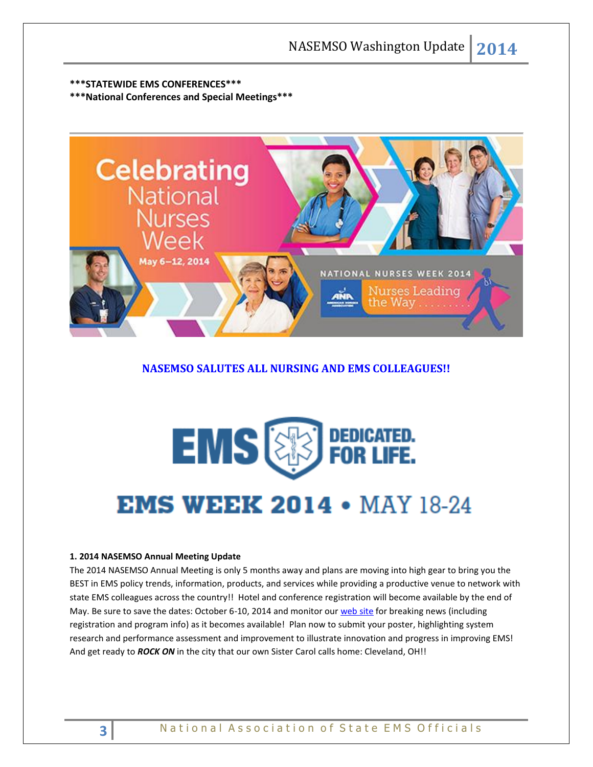# **\*\*\*STATEWIDE EMS CONFERENCES\*\*\***

**\*\*\*National Conferences and Special Meetings\*\*\***



# **NASEMSO SALUTES ALL NURSING AND EMS COLLEAGUES!!**

# **EMS & FOR LIFE. EMS WEEK 2014 • MAY 18-24**

#### **1. 2014 NASEMSO Annual Meeting Update**

The 2014 NASEMSO Annual Meeting is only 5 months away and plans are moving into high gear to bring you the BEST in EMS policy trends, information, products, and services while providing a productive venue to network with state EMS colleagues across the country!! Hotel and conference registration will become available by the end of May. Be sure to save the dates: October 6-10, 2014 and monitor ou[r web site](http://www.nasemso.org/Meetings/Annual/AnnualMeeting2014.asp) for breaking news (including registration and program info) as it becomes available! Plan now to submit your poster, highlighting system research and performance assessment and improvement to illustrate innovation and progress in improving EMS! And get ready to *ROCK ON* in the city that our own Sister Carol calls home: Cleveland, OH!!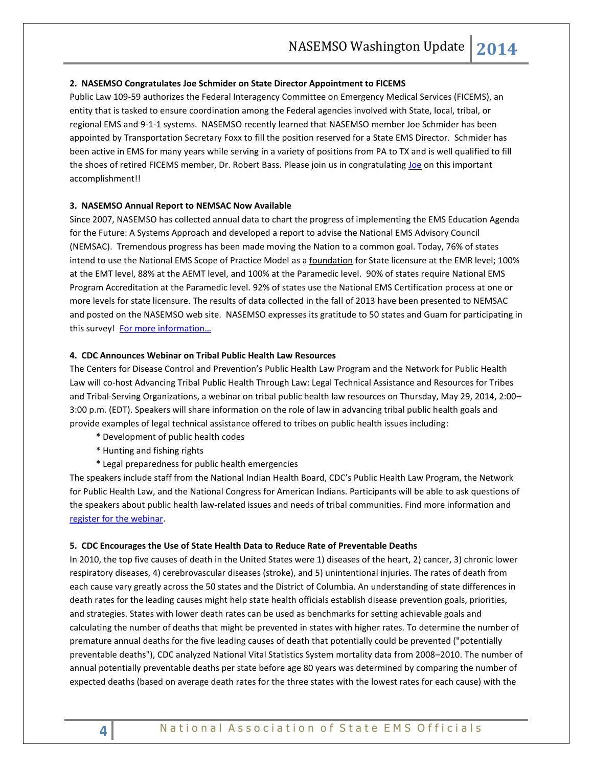#### **2. NASEMSO Congratulates Joe Schmider on State Director Appointment to FICEMS**

Public Law 109-59 authorizes the Federal Interagency Committee on Emergency Medical Services (FICEMS), an entity that is tasked to ensure coordination among the Federal agencies involved with State, local, tribal, or regional EMS and 9-1-1 systems. NASEMSO recently learned that NASEMSO member Joe Schmider has been appointed by Transportation Secretary Foxx to fill the position reserved for a State EMS Director. Schmider has been active in EMS for many years while serving in a variety of positions from PA to TX and is well qualified to fill the shoes of retired FICEMS member, Dr. Robert Bass. Please join us in congratulating [Joe](mailto:Joseph.Schmider@dshs.state.tx.us?subject=Congratulations!!) on this important accomplishment!!

#### **3. NASEMSO Annual Report to NEMSAC Now Available**

Since 2007, NASEMSO has collected annual data to chart the progress of implementing the EMS Education Agenda for the Future: A Systems Approach and developed a report to advise the National EMS Advisory Council (NEMSAC). Tremendous progress has been made moving the Nation to a common goal. Today, 76% of states intend to use the National EMS Scope of Practice Model as a foundation for State licensure at the EMR level; 100% at the EMT level, 88% at the AEMT level, and 100% at the Paramedic level. 90% of states require National EMS Program Accreditation at the Paramedic level. 92% of states use the National EMS Certification process at one or more levels for state licensure. The results of data collected in the fall of 2013 have been presented to NEMSAC and posted on the NASEMSO web site. NASEMSO expresses its gratitude to 50 states and Guam for participating in this survey! For more information...

#### **4. CDC Announces Webinar on Tribal Public Health Law Resources**

The Centers for Disease Control and Prevention's Public Health Law Program and the Network for Public Health Law will co-host Advancing Tribal Public Health Through Law: Legal Technical Assistance and Resources for Tribes and Tribal-Serving Organizations, a webinar on tribal public health law resources on Thursday, May 29, 2014, 2:00– 3:00 p.m. (EDT). Speakers will share information on the role of law in advancing tribal public health goals and provide examples of legal technical assistance offered to tribes on public health issues including:

- \* Development of public health codes
- \* Hunting and fishing rights
- \* Legal preparedness for public health emergencies

The speakers include staff from the National Indian Health Board, CDC's Public Health Law Program, the Network for Public Health Law, and the National Congress for American Indians. Participants will be able to ask questions of the speakers about public health law-related issues and needs of tribal communities. Find more information and [register for the webinar.](mailto:https://networkforphl.webex.com/mw0401l/mywebex/default.do?nomenu=true&siteurl=networkforphl&service=6&rnd=0.6212430148535351&main_url=https%3A%2F%2Fnetworkforphl.webex.com%2Fec0701l%2Feventcenter%2Fevent%2FeventAction.do%3FtheAction%3Ddeta)

#### **5. CDC Encourages the Use of State Health Data to Reduce Rate of Preventable Deaths**

In 2010, the top five causes of death in the United States were 1) diseases of the heart, 2) cancer, 3) chronic lower respiratory diseases, 4) cerebrovascular diseases (stroke), and 5) unintentional injuries. The rates of death from each cause vary greatly across the 50 states and the District of Columbia. An understanding of state differences in death rates for the leading causes might help state health officials establish disease prevention goals, priorities, and strategies. States with lower death rates can be used as benchmarks for setting achievable goals and calculating the number of deaths that might be prevented in states with higher rates. To determine the number of premature annual deaths for the five leading causes of death that potentially could be prevented ("potentially preventable deaths"), CDC analyzed National Vital Statistics System mortality data from 2008–2010. The number of annual potentially preventable deaths per state before age 80 years was determined by comparing the number of expected deaths (based on average death rates for the three states with the lowest rates for each cause) with the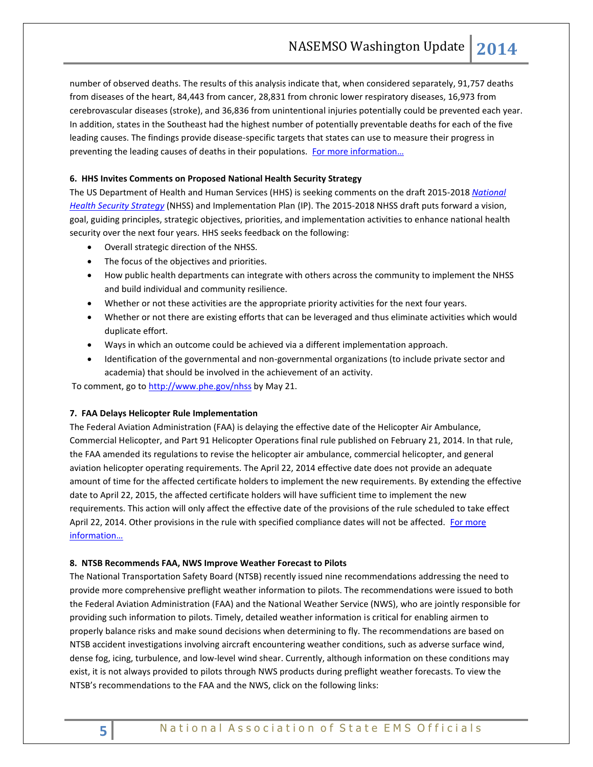number of observed deaths. The results of this analysis indicate that, when considered separately, 91,757 deaths from diseases of the heart, 84,443 from cancer, 28,831 from chronic lower respiratory diseases, 16,973 from cerebrovascular diseases (stroke), and 36,836 from unintentional injuries potentially could be prevented each year. In addition, states in the Southeast had the highest number of potentially preventable deaths for each of the five leading causes. The findings provide disease-specific targets that states can use to measure their progress in preventing the leading causes of deaths in their populations. For more information...

## **6. HHS Invites Comments on Proposed National Health Security Strategy**

The US Department of Health and Human Services (HHS) is seeking comments on the draft 2015-2018 *[National](http://www.phe.gov/Preparedness/planning/authority/nhss/comments/Pages/default.aspx)  [Health Security Strategy](http://www.phe.gov/Preparedness/planning/authority/nhss/comments/Pages/default.aspx)* (NHSS) and Implementation Plan (IP). The 2015-2018 NHSS draft puts forward a vision, goal, guiding principles, strategic objectives, priorities, and implementation activities to enhance national health security over the next four years. HHS seeks feedback on the following:

- Overall strategic direction of the NHSS.
- The focus of the objectives and priorities.
- How public health departments can integrate with others across the community to implement the NHSS and build individual and community resilience.
- Whether or not these activities are the appropriate priority activities for the next four years.
- Whether or not there are existing efforts that can be leveraged and thus eliminate activities which would duplicate effort.
- Ways in which an outcome could be achieved via a different implementation approach.
- Identification of the governmental and non-governmental organizations (to include private sector and academia) that should be involved in the achievement of an activity.

To comment, go t[o http://www.phe.gov/nhss](http://www.phe.gov/nhss) by May 21.

#### **7. FAA Delays Helicopter Rule Implementation**

The Federal Aviation Administration (FAA) is delaying the effective date of the Helicopter Air Ambulance, Commercial Helicopter, and Part 91 Helicopter Operations final rule published on February 21, 2014. In that rule, the FAA amended its regulations to revise the helicopter air ambulance, commercial helicopter, and general aviation helicopter operating requirements. The April 22, 2014 effective date does not provide an adequate amount of time for the affected certificate holders to implement the new requirements. By extending the effective date to April 22, 2015, the affected certificate holders will have sufficient time to implement the new requirements. This action will only affect the effective date of the provisions of the rule scheduled to take effect April 22, 2014. Other provisions in the rule with specified compliance dates will not be affected. For more [information…](https://www.federalregister.gov/articles/2014/04/21/2014-09034/extension-of-effective-date-for-the-helicopter-air-ambulance-commercial-helicopter-and-part-91)

#### **8. NTSB Recommends FAA, NWS Improve Weather Forecast to Pilots**

The National Transportation Safety Board (NTSB) recently issued nine recommendations addressing the need to provide more comprehensive preflight weather information to pilots. The recommendations were issued to both the Federal Aviation Administration (FAA) and the National Weather Service (NWS), who are jointly responsible for providing such information to pilots. Timely, detailed weather information is critical for enabling airmen to properly balance risks and make sound decisions when determining to fly. The recommendations are based on NTSB accident investigations involving aircraft encountering weather conditions, such as adverse surface wind, dense fog, icing, turbulence, and low-level wind shear. Currently, although information on these conditions may exist, it is not always provided to pilots through NWS products during preflight weather forecasts. To view the NTSB's recommendations to the FAA and the NWS, click on the following links: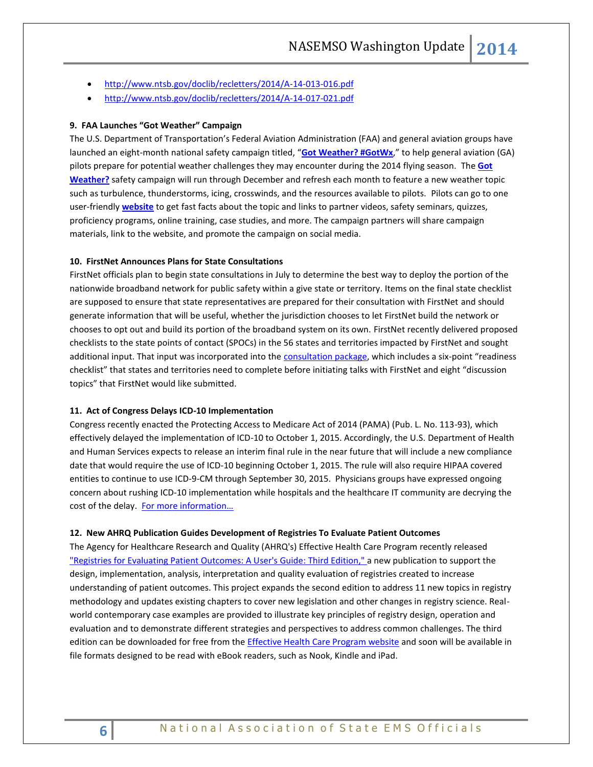- <http://www.ntsb.gov/doclib/recletters/2014/A-14-013-016.pdf>
- <http://www.ntsb.gov/doclib/recletters/2014/A-14-017-021.pdf>

#### **9. FAA Launches "Got Weather" Campaign**

The U.S. Department of Transportation's Federal Aviation Administration (FAA) and general aviation groups have launched an eight-month national safety campaign titled, "**[Got Weather? #GotWx](http://links.govdelivery.com/track?type=click&enid=ZWFzPTEmbWFpbGluZ2lkPTIwMTQwNTAxLjMxODAyMjgxJm1lc3NhZ2VpZD1NREItUFJELUJVTC0yMDE0MDUwMS4zMTgwMjI4MSZkYXRhYmFzZWlkPTEwMDEmc2VyaWFsPTE3MDAxMDkxJmVtYWlsaWQ9cm9iaW5zb25AbmFzZW1zby5vcmcmdXNlcmlkPXJvYmluc29uQG5hc2Vtc28ub3JnJmZsPSZleHRyYT1NdWx0aXZhcmlhdGVJZD0mJiY=&&&100&&&http://www.faa.gov/about/initiatives/got_weather/)**," to help general aviation (GA) pilots prepare for potential weather challenges they may encounter during the 2014 flying season. The **[Got](http://links.govdelivery.com/track?type=click&enid=ZWFzPTEmbWFpbGluZ2lkPTIwMTQwNTAxLjMxODAyMjgxJm1lc3NhZ2VpZD1NREItUFJELUJVTC0yMDE0MDUwMS4zMTgwMjI4MSZkYXRhYmFzZWlkPTEwMDEmc2VyaWFsPTE3MDAxMDkxJmVtYWlsaWQ9cm9iaW5zb25AbmFzZW1zby5vcmcmdXNlcmlkPXJvYmluc29uQG5hc2Vtc28ub3JnJmZsPSZleHRyYT1NdWx0aXZhcmlhdGVJZD0mJiY=&&&103&&&http://www.faa.gov/about/initiatives/got_weather/)  [Weather?](http://links.govdelivery.com/track?type=click&enid=ZWFzPTEmbWFpbGluZ2lkPTIwMTQwNTAxLjMxODAyMjgxJm1lc3NhZ2VpZD1NREItUFJELUJVTC0yMDE0MDUwMS4zMTgwMjI4MSZkYXRhYmFzZWlkPTEwMDEmc2VyaWFsPTE3MDAxMDkxJmVtYWlsaWQ9cm9iaW5zb25AbmFzZW1zby5vcmcmdXNlcmlkPXJvYmluc29uQG5hc2Vtc28ub3JnJmZsPSZleHRyYT1NdWx0aXZhcmlhdGVJZD0mJiY=&&&103&&&http://www.faa.gov/about/initiatives/got_weather/)** safety campaign will run through December and refresh each month to feature a new weather topic such as turbulence, thunderstorms, icing, crosswinds, and the resources available to pilots. Pilots can go to one user-friendly **[website](http://links.govdelivery.com/track?type=click&enid=ZWFzPTEmbWFpbGluZ2lkPTIwMTQwNTAxLjMxODAyMjgxJm1lc3NhZ2VpZD1NREItUFJELUJVTC0yMDE0MDUwMS4zMTgwMjI4MSZkYXRhYmFzZWlkPTEwMDEmc2VyaWFsPTE3MDAxMDkxJmVtYWlsaWQ9cm9iaW5zb25AbmFzZW1zby5vcmcmdXNlcmlkPXJvYmluc29uQG5hc2Vtc28ub3JnJmZsPSZleHRyYT1NdWx0aXZhcmlhdGVJZD0mJiY=&&&104&&&http://www.faa.gov/about/initiatives/got_weather/)** to get fast facts about the topic and links to partner videos, safety seminars, quizzes, proficiency programs, online training, case studies, and more. The campaign partners will share campaign materials, link to the website, and promote the campaign on social media.

#### **10. FirstNet Announces Plans for State Consultations**

FirstNet officials plan to begin state consultations in July to determine the best way to deploy the portion of the nationwide broadband network for public safety within a give state or territory. Items on the final state checklist are supposed to ensure that state representatives are prepared for their consultation with FirstNet and should generate information that will be useful, whether the jurisdiction chooses to let FirstNet build the network or chooses to opt out and build its portion of the broadband system on its own. FirstNet recently delivered proposed checklists to the state points of contact (SPOCs) in the 56 states and territories impacted by FirstNet and sought additional input. That input was incorporated into the [consultation package,](http://firstnet.gov/sites/default/files/Single%20Point%20of%20Contact%20%28SPOC%29%20Initial%20Consultation%20Package_04302014.pdf) which includes a six-point "readiness checklist" that states and territories need to complete before initiating talks with FirstNet and eight "discussion topics" that FirstNet would like submitted.

#### **11. Act of Congress Delays ICD-10 Implementation**

Congress recently enacted the Protecting Access to Medicare Act of 2014 (PAMA) (Pub. L. No. 113-93), which effectively delayed the implementation of ICD-10 to October 1, 2015. Accordingly, the U.S. Department of Health and Human Services expects to release an interim final rule in the near future that will include a new compliance date that would require the use of ICD-10 beginning October 1, 2015. The rule will also require HIPAA covered entities to continue to use ICD-9-CM through September 30, 2015. Physicians groups have expressed ongoing concern about rushing ICD-10 implementation while hospitals and the healthcare IT community are decrying the cost of the delay. For more information...

#### **12. New AHRQ Publication Guides Development of Registries To Evaluate Patient Outcomes**

The Agency for Healthcare Research and Quality (AHRQ's) Effective Health Care Program recently released "Registries for [Evaluating Patient Outcomes: A User's Guide: Third Edition,"](http://www.effectivehealthcare.ahrq.gov/index.cfm/search-for-guides-reviews-and-reports/?pageaction=displayproduct&productid=1897) a new publication to support the design, implementation, analysis, interpretation and quality evaluation of registries created to increase understanding of patient outcomes. This project expands the second edition to address 11 new topics in registry methodology and updates existing chapters to cover new legislation and other changes in registry science. Realworld contemporary case examples are provided to illustrate key principles of registry design, operation and evaluation and to demonstrate different strategies and perspectives to address common challenges. The third edition can be downloaded for free from th[e Effective Health Care Program website](http://www.effectivehealthcare.ahrq.gov/) and soon will be available in file formats designed to be read with eBook readers, such as Nook, Kindle and iPad.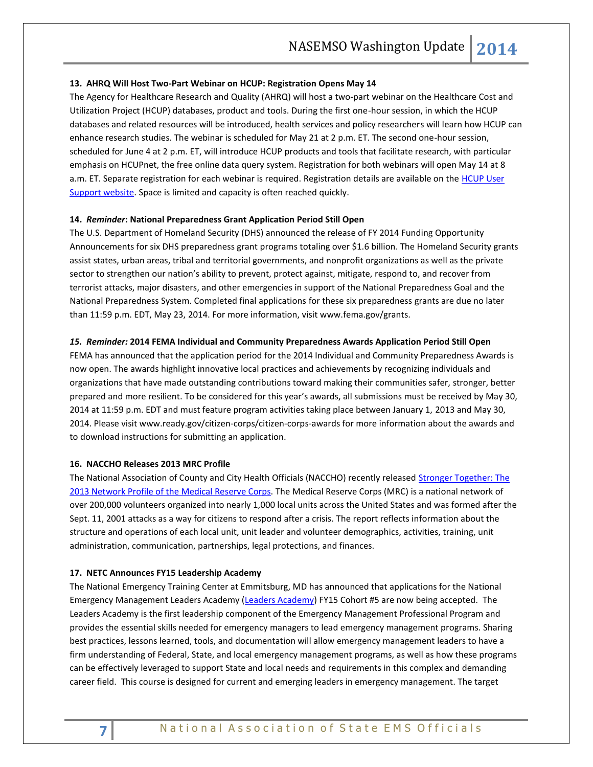#### **13. AHRQ Will Host Two-Part Webinar on HCUP: Registration Opens May 14**

The Agency for Healthcare Research and Quality (AHRQ) will host a two-part webinar on the Healthcare Cost and Utilization Project (HCUP) databases, product and tools. During the first one-hour session, in which the HCUP databases and related resources will be introduced, health services and policy researchers will learn how HCUP can enhance research studies. The webinar is scheduled for May 21 at 2 p.m. ET. The second one-hour session, scheduled for June 4 at 2 p.m. ET, will introduce HCUP products and tools that facilitate research, with particular emphasis on HCUPnet, the free online data query system. Registration for both webinars will open May 14 at 8 a.m. ET. Separate registration for each webinar is required. Registration details are available on the **HCUP User** [Support website.](http://hcup-us.ahrq.gov/hcup_webinar.jsp) Space is limited and capacity is often reached quickly.

## **14.** *Reminder***: National Preparedness Grant Application Period Still Open**

The U.S. Department of Homeland Security (DHS) announced the release of FY 2014 Funding Opportunity Announcements for six DHS preparedness grant programs totaling over \$1.6 billion. The Homeland Security grants assist states, urban areas, tribal and territorial governments, and nonprofit organizations as well as the private sector to strengthen our nation's ability to prevent, protect against, mitigate, respond to, and recover from terrorist attacks, major disasters, and other emergencies in support of the National Preparedness Goal and the National Preparedness System. Completed final applications for these six preparedness grants are due no later than 11:59 p.m. EDT, May 23, 2014. For more information, visit www.fema.gov/grants.

#### *15. Reminder:* **2014 FEMA Individual and Community Preparedness Awards Application Period Still Open**

FEMA has announced that the application period for the 2014 Individual and Community Preparedness Awards is now open. The awards highlight innovative local practices and achievements by recognizing individuals and organizations that have made outstanding contributions toward making their communities safer, stronger, better prepared and more resilient. To be considered for this year's awards, all submissions must be received by May 30, 2014 at 11:59 p.m. EDT and must feature program activities taking place between January 1, 2013 and May 30, 2014. Please visit www.ready.gov/citizen-corps/citizen-corps-awards for more information about the awards and to download instructions for submitting an application.

#### **16. NACCHO Releases 2013 MRC Profile**

The National Association of County and City Health Officials (NACCHO) recently released [Stronger Together: The](http://www.naccho.org/publications/emergency/upload/TTC-NACCHO-MRC-Report-2013-lo-res.pdf)  [2013 Network Profile of the Medical Reserve Corps.](http://www.naccho.org/publications/emergency/upload/TTC-NACCHO-MRC-Report-2013-lo-res.pdf) The Medical Reserve Corps (MRC) is a national network of over 200,000 volunteers organized into nearly 1,000 local units across the United States and was formed after the Sept. 11, 2001 attacks as a way for citizens to respond after a crisis. The report reflects information about the structure and operations of each local unit, unit leader and volunteer demographics, activities, training, unit administration, communication, partnerships, legal protections, and finances.

#### **17. NETC Announces FY15 Leadership Academy**

The National Emergency Training Center at Emmitsburg, MD has announced that applications for the National Emergency Management Leaders Academy [\(Leaders Academy\)](http://training.fema.gov/EMPP/leaders.asp) FY15 Cohort #5 are now being accepted. The Leaders Academy is the first leadership component of the Emergency Management Professional Program and provides the essential skills needed for emergency managers to lead emergency management programs. Sharing best practices, lessons learned, tools, and documentation will allow emergency management leaders to have a firm understanding of Federal, State, and local emergency management programs, as well as how these programs can be effectively leveraged to support State and local needs and requirements in this complex and demanding career field. This course is designed for current and emerging leaders in emergency management. The target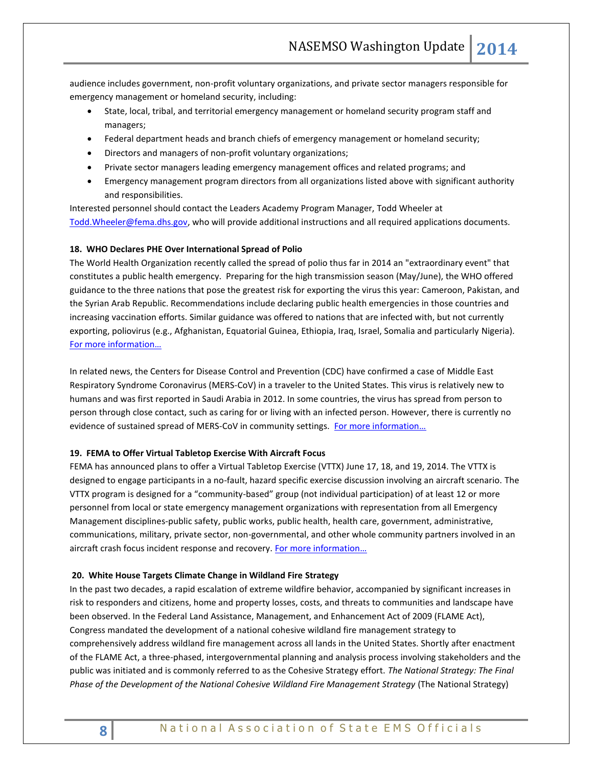audience includes government, non-profit voluntary organizations, and private sector managers responsible for emergency management or homeland security, including:

- State, local, tribal, and territorial emergency management or homeland security program staff and managers;
- Federal department heads and branch chiefs of emergency management or homeland security;
- Directors and managers of non-profit voluntary organizations;
- Private sector managers leading emergency management offices and related programs; and
- Emergency management program directors from all organizations listed above with significant authority and responsibilities.

Interested personnel should contact the Leaders Academy Program Manager, Todd Wheeler at [Todd.Wheeler@fema.dhs.gov,](mailto:Todd.Wheeler@fema.dhs.gov) who will provide additional instructions and all required applications documents.

#### **18. WHO Declares PHE Over International Spread of Polio**

The World Health Organization recently called the spread of polio thus far in 2014 an "extraordinary event" that constitutes a public health emergency. Preparing for the high transmission season (May/June), the WHO offered guidance to the three nations that pose the greatest risk for exporting the virus this year: Cameroon, Pakistan, and the Syrian Arab Republic. Recommendations include declaring public health emergencies in those countries and increasing vaccination efforts. Similar guidance was offered to nations that are infected with, but not currently exporting, poliovirus (e.g., Afghanistan, Equatorial Guinea, Ethiopia, Iraq, Israel, Somalia and particularly Nigeria). [For more information…](http://www.who.int/mediacentre/news/statements/2014/polio-20140505/en/)

In related news, the Centers for Disease Control and Prevention (CDC) have confirmed a case of Middle East Respiratory Syndrome Coronavirus (MERS-CoV) in a traveler to the United States. This virus is relatively new to humans and was first reported in Saudi Arabia in 2012. In some countries, the virus has spread from person to person through close contact, such as caring for or living with an infected person. However, there is currently no evidence of sustained spread of MERS-CoV in community settings. For more information...

#### **19. FEMA to Offer Virtual Tabletop Exercise With Aircraft Focus**

FEMA has announced plans to offer a Virtual Tabletop Exercise (VTTX) June 17, 18, and 19, 2014. The VTTX is designed to engage participants in a no-fault, hazard specific exercise discussion involving an aircraft scenario. The VTTX program is designed for a "community-based" group (not individual participation) of at least 12 or more personnel from local or state emergency management organizations with representation from all Emergency Management disciplines-public safety, public works, public health, health care, government, administrative, communications, military, private sector, non-governmental, and other whole community partners involved in an aircraft crash focus incident response and recovery. For more information...

#### **20. White House Targets Climate Change in Wildland Fire Strategy**

In the past two decades, a rapid escalation of extreme wildfire behavior, accompanied by significant increases in risk to responders and citizens, home and property losses, costs, and threats to communities and landscape have been observed. In the Federal Land Assistance, Management, and Enhancement Act of 2009 (FLAME Act), Congress mandated the development of a national cohesive wildland fire management strategy to comprehensively address wildland fire management across all lands in the United States. Shortly after enactment of the FLAME Act, a three-phased, intergovernmental planning and analysis process involving stakeholders and the public was initiated and is commonly referred to as the Cohesive Strategy effort. *The National Strategy: The Final Phase of the Development of the National Cohesive Wildland Fire Management Strategy* (The National Strategy)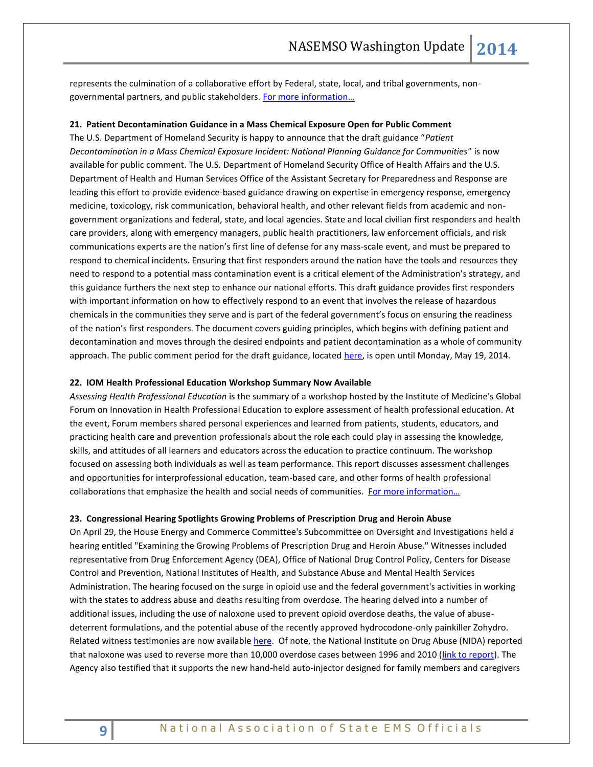represents the culmination of a collaborative effort by Federal, state, local, and tribal governments, nongovernmental partners, and public stakeholders. [For more information…](http://www.doi.gov/news/loader.cfm?csModule=security/getfile&pageid=526008)

#### **21. Patient Decontamination Guidance in a Mass Chemical Exposure Open for Public Comment**

The U.S. Department of Homeland Security is happy to announce that the draft guidance "*Patient Decontamination in a Mass Chemical Exposure Incident: National Planning Guidance for Communities*" is now available for public comment. The U.S. Department of Homeland Security Office of Health Affairs and the U.S. Department of Health and Human Services Office of the Assistant Secretary for Preparedness and Response are leading this effort to provide evidence-based guidance drawing on expertise in emergency response, emergency medicine, toxicology, risk communication, behavioral health, and other relevant fields from academic and nongovernment organizations and federal, state, and local agencies. State and local civilian first responders and health care providers, along with emergency managers, public health practitioners, law enforcement officials, and risk communications experts are the nation's first line of defense for any mass-scale event, and must be prepared to respond to chemical incidents. Ensuring that first responders around the nation have the tools and resources they need to respond to a potential mass contamination event is a critical element of the Administration's strategy, and this guidance furthers the next step to enhance our national efforts. This draft guidance provides first responders with important information on how to effectively respond to an event that involves the release of hazardous chemicals in the communities they serve and is part of the federal government's focus on ensuring the readiness of the nation's first responders. The document covers guiding principles, which begins with defining patient and decontamination and moves through the desired endpoints and patient decontamination as a whole of community approach. The public comment period for the draft guidance, located [here,](https://www.federalregister.gov/articles/2014/04/02/2014-07392/public-review-of-patient-decontamination-in-a-mass-chemical-exposure-incident-national-planning) is open until Monday, May 19, 2014.

#### **22. IOM Health Professional Education Workshop Summary Now Available**

*Assessing Health Professional Education* is the summary of a workshop hosted by the Institute of Medicine's Global Forum on Innovation in Health Professional Education to explore assessment of health professional education. At the event, Forum members shared personal experiences and learned from patients, students, educators, and practicing health care and prevention professionals about the role each could play in assessing the knowledge, skills, and attitudes of all learners and educators across the education to practice continuum. The workshop focused on assessing both individuals as well as team performance. This report discusses assessment challenges and opportunities for interprofessional education, team-based care, and other forms of health professional collaborations that emphasize the health and social needs of communities. [For more information…](http://www.nap.edu/catalog.php?record_id=18738)

#### **23. Congressional Hearing Spotlights Growing Problems of Prescription Drug and Heroin Abuse**

On April 29, the House Energy and Commerce Committee's Subcommittee on Oversight and Investigations held a [hearing](http://www.mmsend47.com/link.cfm?r=235034241&sid=39260093&m=4279212&u=NACCHO&j=18453819&s=http://energycommerce.house.gov/press-release/hearing-notice-subcommittee-oversight-and-investigations-0) entitled "Examining the Growing Problems of Prescription Drug and Heroin Abuse." Witnesses included representative from Drug Enforcement Agency (DEA), Office of National Drug Control Policy, Centers for Disease Control and Prevention, National Institutes of Health, and Substance Abuse and Mental Health Services Administration. The hearing focused on the surge in opioid use and the federal government's activities in working with the states to address abuse and deaths resulting from overdose. The hearing delved into a number of additional issues, including the use of naloxone used to prevent opioid overdose deaths, the value of abusedeterrent formulations, and the potential abuse of the recently approved hydrocodone-only painkiller Zohydro. Related witness testimonies are now available [here.](http://energycommerce.house.gov/hearing/examining-growing-problems-prescription-drug-and-heroin-abuse) Of note, the National Institute on Drug Abuse (NIDA) reported that naloxone was used to reverse more than 10,000 overdose cases between 1996 and 2010 [\(link to report\)](http://www.cdc.gov/mmwr/pdf/wk/mm6106.pdf). The Agency also testified that it supports the new hand-held auto-injector designed for family members and caregivers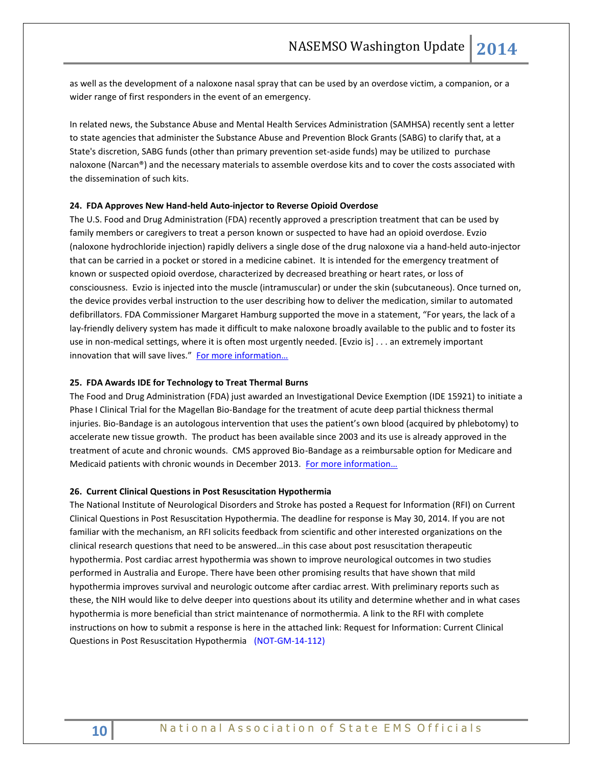as well as the development of a naloxone nasal spray that can be used by an overdose victim, a companion, or a wider range of first responders in the event of an emergency.

In related news, the Substance Abuse and Mental Health Services Administration (SAMHSA) recently sent a letter to state agencies that administer the Substance Abuse and Prevention Block Grants (SABG) to clarify that, at a State's discretion, SABG funds (other than primary prevention set-aside funds) may be utilized to purchase naloxone (Narcan®) and the necessary materials to assemble overdose kits and to cover the costs associated with the dissemination of such kits.

#### **24. FDA Approves New Hand-held Auto-injector to Reverse Opioid Overdose**

The U.S. Food and Drug Administration (FDA) recently approved a prescription treatment that can be used by family members or caregivers to treat a person known or suspected to have had an opioid overdose. Evzio (naloxone hydrochloride injection) rapidly delivers a single dose of the drug naloxone via a hand-held auto-injector that can be carried in a pocket or stored in a medicine cabinet. It is intended for the emergency treatment of known or suspected opioid overdose, characterized by decreased breathing or heart rates, or loss of consciousness. Evzio is injected into the muscle (intramuscular) or under the skin (subcutaneous). Once turned on, the device provides verbal instruction to the user describing how to deliver the medication, similar to automated defibrillators. FDA Commissioner Margaret Hamburg supported the move in a statement, "For years, the lack of a lay-friendly delivery system has made it difficult to make naloxone broadly available to the public and to foster its use in non-medical settings, where it is often most urgently needed. [Evzio is] . . . an extremely important innovation that will save lives." For more information...

#### **25. FDA Awards IDE for Technology to Treat Thermal Burns**

The Food and Drug Administration (FDA) just awarded an Investigational Device Exemption (IDE 15921) to initiate a Phase I Clinical Trial for the Magellan Bio-Bandage for the treatment of acute deep partial thickness thermal injuries. Bio-Bandage is an autologous intervention that uses the patient's own blood (acquired by phlebotomy) to accelerate new tissue growth. The product has been available since 2003 and its use is already approved in the treatment of acute and chronic wounds. CMS approved Bio-Bandage as a reimbursable option for Medicare and Medicaid patients with chronic wounds in December 2013. [For more information…](http://www.arteriocyte.com/uploads/4/7/9/9/4799916/barda_press_release_5-2014_final.pdf)

#### **26. Current Clinical Questions in Post Resuscitation Hypothermia**

The National Institute of Neurological Disorders and Stroke has posted a Request for Information (RFI) on Current Clinical Questions in Post Resuscitation Hypothermia. The deadline for response is May 30, 2014. If you are not familiar with the mechanism, an RFI solicits feedback from scientific and other interested organizations on the clinical research questions that need to be answered…in this case about post resuscitation therapeutic hypothermia. Post cardiac arrest hypothermia was shown to improve neurological outcomes in two studies performed in Australia and Europe. There have been other promising results that have shown that mild hypothermia improves survival and neurologic outcome after cardiac arrest. With preliminary reports such as these, the NIH would like to delve deeper into questions about its utility and determine whether and in what cases hypothermia is more beneficial than strict maintenance of normothermia. A link to the RFI with complete instructions on how to submit a response is here in the attached link: Request for Information: Current Clinical Questions in Post Resuscitation Hypothermia [\(NOT-GM-14-112\)](http://grants.nih.gov/grants/guide/notice-files/NOT-GM-14-112.html)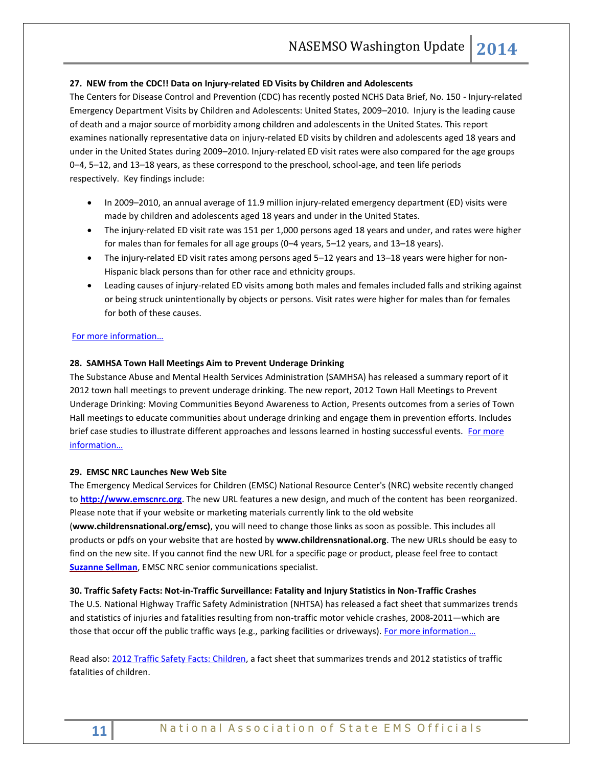# **27. NEW from the CDC!! Data on Injury-related ED Visits by Children and Adolescents**

The Centers for Disease Control and Prevention (CDC) has recently posted NCHS Data Brief, No. 150 - Injury-related Emergency Department Visits by Children and Adolescents: United States, 2009–2010. Injury is the leading cause of death and a major source of morbidity among children and adolescents in the United States. This report examines nationally representative data on injury-related ED visits by children and adolescents aged 18 years and under in the United States during 2009–2010. Injury-related ED visit rates were also compared for the age groups 0–4, 5–12, and 13–18 years, as these correspond to the preschool, school-age, and teen life periods respectively. Key findings include:

- In 2009–2010, an annual average of 11.9 million injury-related emergency department (ED) visits were made by children and adolescents aged 18 years and under in the United States.
- The injury-related ED visit rate was 151 per 1,000 persons aged 18 years and under, and rates were higher for males than for females for all age groups (0–4 years, 5–12 years, and 13–18 years).
- The injury-related ED visit rates among persons aged 5–12 years and 13–18 years were higher for non-Hispanic black persons than for other race and ethnicity groups.
- Leading causes of injury-related ED visits among both males and females included falls and striking against or being struck unintentionally by objects or persons. Visit rates were higher for males than for females for both of these causes.

## [For more information…](http://www.cdc.gov/nchs/data/databriefs/db150.htm)

#### **28. SAMHSA Town Hall Meetings Aim to Prevent Underage Drinking**

The Substance Abuse and Mental Health Services Administration (SAMHSA) has released a summary report of it 2012 town hall meetings to prevent underage drinking. The new report, 2012 Town Hall Meetings to Prevent Underage Drinking: Moving Communities Beyond Awareness to Action, Presents outcomes from a series of Town Hall meetings to educate communities about underage drinking and engage them in prevention efforts. Includes brief case studies to illustrate different approaches and lessons learned in hosting successful events. For more [information…](http://store.samhsa.gov/product/SMA14-4838)

#### **29. EMSC NRC Launches New Web Site**

The Emergency Medical Services for Children (EMSC) National Resource Center's (NRC) website recently changed to **[http://www.emscnrc.org](http://www.emscnrc.org/)**. The new URL features a new design, and much of the content has been reorganized. Please note that if your website or marketing materials currently link to the old website

(**www.childrensnational.org/emsc)**, you will need to change those links as soon as possible. This includes all products or pdfs on your website that are hosted by **www.childrensnational.org**. The new URLs should be easy to find on the new site. If you cannot find the new URL for a specific page or product, please feel free to contact **[Suzanne Sellman](mailto:susellma@childrensnational.org)**, EMSC NRC senior communications specialist.

#### **30. Traffic Safety Facts: Not-in-Traffic Surveillance: Fatality and Injury Statistics in Non-Traffic Crashes**

The U.S. National Highway Traffic Safety Administration (NHTSA) has released a fact sheet that summarizes trends and statistics of injuries and fatalities resulting from non-traffic motor vehicle crashes, 2008-2011—which are those that occur off the public traffic ways (e.g., parking facilities or driveways). For more information...

Read also: [2012 Traffic Safety Facts: Children,](http://www.trb.org/Main/Blurbs/170631.aspx) a fact sheet that summarizes trends and 2012 statistics of traffic fatalities of children.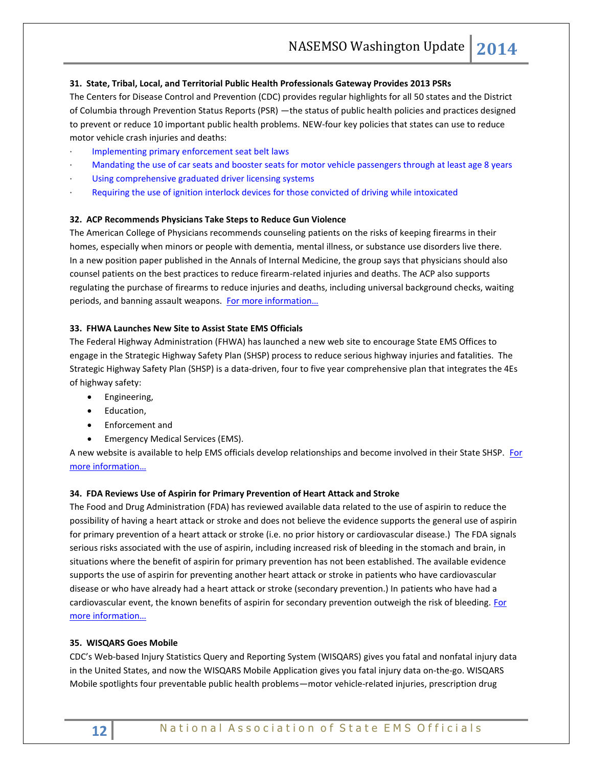# **31. State, Tribal, Local, and Territorial Public Health Professionals Gateway Provides 2013 PSRs**

The Centers for Disease Control and Prevention (CDC) provides regular highlights for all 50 states and the District of Columbia through Prevention Status Reports (PSR) —the status of public health policies and practices designed to prevent or reduce 10 important public health problems. NEW-four key policies that states can use to reduce motor vehicle crash injuries and deaths:

- [Implementing primary enforcement seat belt laws](http://www.cdc.gov/stltpublichealth/psr/motorvehicle/index.html#seat)
- [Mandating the use of car seats and booster seats for motor vehicle passengers through at least age 8 years](http://www.cdc.gov/stltpublichealth/psr/motorvehicle/index.html#mandate)
- [Using comprehensive graduated driver licensing systems](http://www.cdc.gov/stltpublichealth/psr/motorvehicle/index.html#graduated)
- [Requiring the use of ignition interlock devices for those convicted of driving while intoxicated](http://www.cdc.gov/stltpublichealth/psr/motorvehicle/index.html#devices)

#### **32. ACP Recommends Physicians Take Steps to Reduce Gun Violence**

The American College of Physicians recommends counseling patients on the risks of keeping firearms in their homes, especially when minors or people with dementia, mental illness, or substance use disorders live there. In a new position paper published in the Annals of Internal Medicine, the group says that physicians should also counsel patients on the best practices to reduce firearm-related injuries and deaths. The ACP also supports regulating the purchase of firearms to reduce injuries and deaths, including universal background checks, waiting periods, and banning assault weapons. [For more information…](http://annals.org/article.aspx?articleid=1860325)

## **33. FHWA Launches New Site to Assist State EMS Officials**

The Federal Highway Administration (FHWA) has launched a new web site to encourage State EMS Offices to engage in the Strategic Highway Safety Plan (SHSP) process to reduce serious highway injuries and fatalities. The Strategic Highway Safety Plan (SHSP) is a data-driven, four to five year comprehensive plan that integrates the 4Es of highway safety:

- **•** Engineering,
- Education,
- Enforcement and
- Emergency Medical Services (EMS).

A new website is available to help EMS officials develop relationships and become involved in their State SHSP. For [more information…](http://safety.fhwa.dot.gov/hsip/shsp/ems/connection/)

#### **34. FDA Reviews Use of Aspirin for Primary Prevention of Heart Attack and Stroke**

The Food and Drug Administration (FDA) has reviewed available data related to the use of aspirin to reduce the possibility of having a heart attack or stroke and does not believe the evidence supports the general use of aspirin for primary prevention of a heart attack or stroke (i.e. no prior history or cardiovascular disease.) The FDA signals serious risks associated with the use of aspirin, including increased risk of bleeding in the stomach and brain, in situations where the benefit of aspirin for primary prevention has not been established. The available evidence supports the use of aspirin for preventing another heart attack or stroke in patients who have cardiovascular disease or who have already had a heart attack or stroke (secondary prevention.) In patients who have had a cardiovascular event, the known benefits of aspirin for secondary prevention outweigh the risk of bleeding. For [more information…](http://www.fda.gov/Drugs/ResourcesForYou/Consumers/ucm390574.htm)

#### **35. WISQARS Goes Mobile**

CDC's [Web-based Injury Statistics Query and Reporting System \(WISQARS\)](http://www.cdc.gov/injury/wisqars) gives you fatal and nonfatal injury data in the United States, and now the WISQARS Mobile Application gives you fatal injury data on-the-go. WISQARS Mobile spotlights four preventable public health problems—motor vehicle-related injuries, prescription drug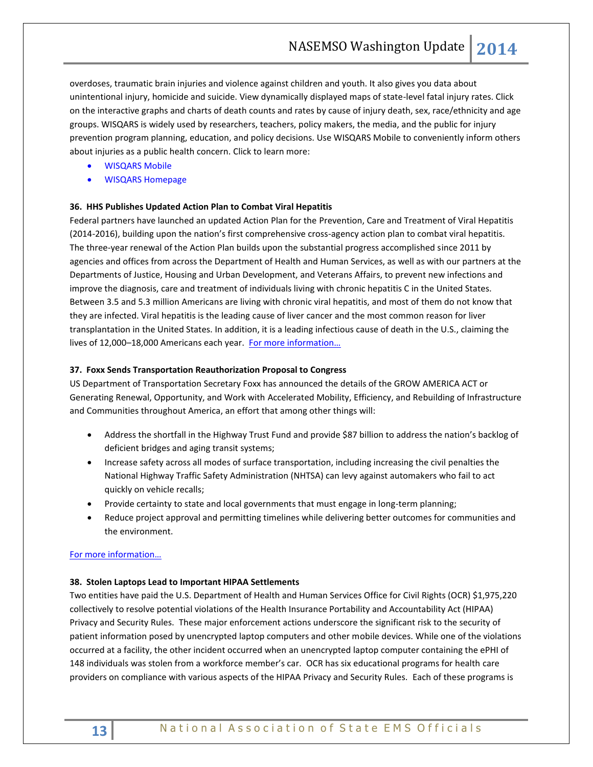overdoses, traumatic brain injuries and violence against children and youth. It also gives you data about unintentional injury, homicide and suicide. View dynamically displayed maps of state-level fatal injury rates. Click on the interactive graphs and charts of death counts and rates by cause of injury death, sex, race/ethnicity and age groups. WISQARS is widely used by researchers, teachers, policy makers, the media, and the public for injury prevention program planning, education, and policy decisions. Use WISQARS Mobile to conveniently inform others about injuries as a public health concern. Click to learn more:

- [WISQARS Mobile](http://www.cdc.gov/injury/wisqars/mobile.html)
- [WISQARS Homepage](http://www.cdc.gov/injury/wisqars/)

## **36. HHS Publishes Updated Action Plan to Combat Viral Hepatitis**

Federal partners have launched an updated Action Plan for the Prevention, Care and Treatment of Viral Hepatitis (2014-2016), building upon the nation's first comprehensive cross-agency action plan to combat viral hepatitis. The three-year renewal of the Action Plan builds upon the substantial progress accomplished since 2011 by agencies and offices from across the Department of Health and Human Services, as well as with our partners at the Departments of Justice, Housing and Urban Development, and Veterans Affairs, to prevent new infections and improve the diagnosis, care and treatment of individuals living with chronic hepatitis C in the United States. Between 3.5 and 5.3 million Americans are living with chronic viral hepatitis, and most of them do not know that they are infected. Viral hepatitis is the leading cause of liver cancer and the most common reason for liver transplantation in the United States. In addition, it is a leading infectious cause of death in the U.S., claiming the lives of 12,000-18,000 Americans each year. For more information...

## **37. Foxx Sends Transportation Reauthorization Proposal to Congress**

US Department of Transportation Secretary Foxx has announced the details of the GROW AMERICA ACT or Generating Renewal, Opportunity, and Work with Accelerated Mobility, Efficiency, and Rebuilding of Infrastructure and Communities throughout America, an effort that among other things will:

- Address the shortfall in the Highway Trust Fund and provide \$87 billion to address the nation's backlog of deficient bridges and aging transit systems;
- Increase safety across all modes of surface transportation, including increasing the civil penalties the National Highway Traffic Safety Administration (NHTSA) can levy against automakers who fail to act quickly on vehicle recalls;
- Provide certainty to state and local governments that must engage in long-term planning;
- Reduce project approval and permitting timelines while delivering better outcomes for communities and the environment.

#### [For more information…](http://www.dot.gov/grow-america/focus-areas)

# **38. Stolen Laptops Lead to Important HIPAA Settlements**

Two entities have paid the U.S. Department of Health and Human Services Office for Civil Rights (OCR) \$1,975,220 collectively to resolve potential violations of the Health Insurance Portability and Accountability Act (HIPAA) Privacy and Security Rules. These major enforcement actions underscore the significant risk to the security of patient information posed by unencrypted laptop computers and other mobile devices. While one of the violations occurred at a facility, the other incident occurred when an unencrypted laptop computer containing the ePHI of 148 individuals was stolen from a workforce member's car. OCR has six educational programs for health care providers on compliance with various aspects of the HIPAA Privacy and Security Rules. Each of these programs is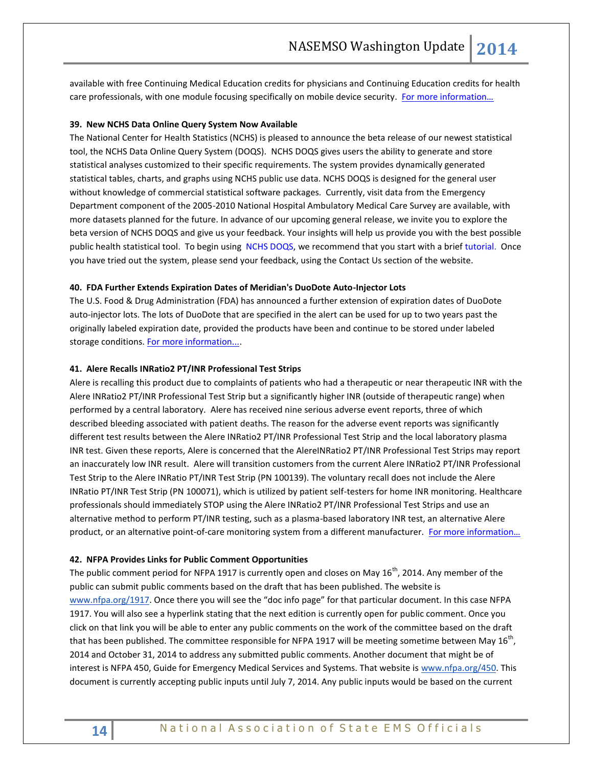available with free Continuing Medical Education credits for physicians and Continuing Education credits for health care professionals, with one module focusing specifically on mobile device security. [For more information…](http://www.hhs.gov/ocr/privacy/hipaa/understanding/training)

#### **39. New NCHS Data Online Query System Now Available**

The National Center for Health Statistics (NCHS) is pleased to announce the beta release of our newest statistical tool, the NCHS Data Online Query System (DOQS). NCHS DOQS gives users the ability to generate and store statistical analyses customized to their specific requirements. The system provides dynamically generated statistical tables, charts, and graphs using NCHS public use data. NCHS DOQS is designed for the general user without knowledge of commercial statistical software packages. Currently, visit data from the Emergency Department component of the 2005-2010 National Hospital Ambulatory Medical Care Survey are available, with more datasets planned for the future. In advance of our upcoming general release, we invite you to explore the beta version of NCHS DOQS and give us your feedback. Your insights will help us provide you with the best possible public health statistical tool. To begin using [NCHS DOQS,](http://links.govdelivery.com/track?type=click&enid=ZWFzPTEmbWFpbGluZ2lkPTIwMTQwNDE1LjMxMzE0ODgxJm1lc3NhZ2VpZD1NREItUFJELUJVTC0yMDE0MDQxNS4zMTMxNDg4MSZkYXRhYmFzZWlkPTEwMDEmc2VyaWFsPTE2ODEwOTk2JmVtYWlsaWQ9cm9iaW5zb25AbmFzZW1zby5vcmcmdXNlcmlkPXJvYmluc29uQG5hc2Vtc28ub3JnJmZsPSZleHRyYT1NdWx0aXZhcmlhdGVJZD0mJiY=&&&100&&&http://www.cdc.gov/nchs/doqs/index.htm) we recommend that you start with a brief [tutorial.](http://links.govdelivery.com/track?type=click&enid=ZWFzPTEmbWFpbGluZ2lkPTIwMTQwNDE1LjMxMzE0ODgxJm1lc3NhZ2VpZD1NREItUFJELUJVTC0yMDE0MDQxNS4zMTMxNDg4MSZkYXRhYmFzZWlkPTEwMDEmc2VyaWFsPTE2ODEwOTk2JmVtYWlsaWQ9cm9iaW5zb25AbmFzZW1zby5vcmcmdXNlcmlkPXJvYmluc29uQG5hc2Vtc28ub3JnJmZsPSZleHRyYT1NdWx0aXZhcmlhdGVJZD0mJiY=&&&101&&&http://www.cdc.gov/nchs/ppt/doqs/nchs_doqs_overview.pdf) Once you have tried out the system, please send your feedback, using the Contact Us section of the website.

#### **40. FDA Further Extends Expiration Dates of Meridian's DuoDote Auto-Injector Lots**

The U.S. Food & Drug Administration (FDA) has announced a further extension of expiration dates of DuoDote auto-injector lots. The lots of DuoDote that are specified in the alert can be used for up to two years past the originally labeled expiration date, provided the products have been and continue to be stored under labeled storage conditions. [For more information....](http://www.nasemso.org/documents/Duo-Dote-Auto-Injector-Extension-03Apr2014.pdf)

#### **41. Alere Recalls INRatio2 PT/INR Professional Test Strips**

Alere is recalling this product due to complaints of patients who had a therapeutic or near therapeutic INR with the Alere INRatio2 PT/INR Professional Test Strip but a significantly higher INR (outside of therapeutic range) when performed by a central laboratory. Alere has received nine serious adverse event reports, three of which described bleeding associated with patient deaths. The reason for the adverse event reports was significantly different test results between the Alere INRatio2 PT/INR Professional Test Strip and the local laboratory plasma INR test. Given these reports, Alere is concerned that the AlereINRatio2 PT/INR Professional Test Strips may report an inaccurately low INR result. Alere will transition customers from the current Alere INRatio2 PT/INR Professional Test Strip to the Alere INRatio PT/INR Test Strip (PN 100139). The voluntary recall does not include the Alere INRatio PT/INR Test Strip (PN 100071), which is utilized by patient self-testers for home INR monitoring. Healthcare professionals should immediately STOP using the Alere INRatio2 PT/INR Professional Test Strips and use an alternative method to perform PT/INR testing, such as a plasma-based laboratory INR test, an alternative Alere product, or an alternative point-of-care monitoring system from a different manufacturer. For more information...

#### **42. NFPA Provides Links for Public Comment Opportunities**

The public comment period for NFPA 1917 is currently open and closes on May  $16^{th}$ , 2014. Any member of the public can submit public comments based on the draft that has been published. The website is [www.nfpa.org/1917.](http://www.nfpa.org/1917) Once there you will see the "doc info page" for that particular document. In this case NFPA 1917. You will also see a hyperlink stating that the next edition is currently open for public comment. Once you click on that link you will be able to enter any public comments on the work of the committee based on the draft that has been published. The committee responsible for NFPA 1917 will be meeting sometime between May 16<sup>th</sup>, 2014 and October 31, 2014 to address any submitted public comments. Another document that might be of interest is NFPA 450, Guide for Emergency Medical Services and Systems. That website is [www.nfpa.org/450.](http://www.nfpa.org/450) This document is currently accepting public inputs until July 7, 2014. Any public inputs would be based on the current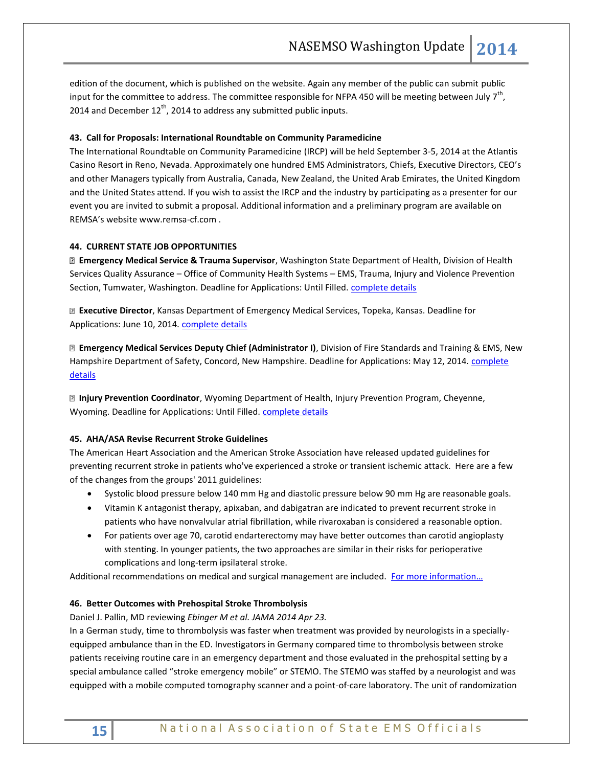edition of the document, which is published on the website. Again any member of the public can submit public input for the committee to address. The committee responsible for NFPA 450 will be meeting between July 7<sup>th</sup>, 2014 and December  $12^{th}$ , 2014 to address any submitted public inputs.

#### **43. Call for Proposals: International Roundtable on Community Paramedicine**

The International Roundtable on Community Paramedicine (IRCP) will be held September 3-5, 2014 at the Atlantis Casino Resort in Reno, Nevada. Approximately one hundred EMS Administrators, Chiefs, Executive Directors, CEO's and other Managers typically from Australia, Canada, New Zealand, the United Arab Emirates, the United Kingdom and the United States attend. If you wish to assist the IRCP and the industry by participating as a presenter for our event you are invited to submit a proposal. Additional information and a preliminary program are available on REMSA's website www.remsa-cf.com .

## **44. CURRENT STATE JOB OPPORTUNITIES**

**Emergency Medical Service & Trauma Supervisor**, Washington State Department of Health, Division of Health Services Quality Assurance – Office of Community Health Systems – EMS, Trauma, Injury and Violence Prevention Section, Tumwater, Washington. Deadline for Applications: Until Filled[. complete details](http://agency.governmentjobs.com/washington/default.cfm?action=viewJob&jobID=868384)

**Executive Director**, Kansas Department of Emergency Medical Services, Topeka, Kansas. Deadline for Applications: June 10, 2014. [complete details](http://admin.ks.gov/services/state-employment-center/job/job-postings?id=177394)

**Emergency Medical Services Deputy Chief (Administrator I)**, Division of Fire Standards and Training & EMS, New Hampshire Department of Safety, Concord, New Hampshire. Deadline for Applications: May 12, 2014. complete [details](https://jobs.nhfirst.nh.gov:444/lawtaprd/CandidateSelfService/controller.servlet?&service=_formnav&bto=JobPosting&dataarea=lawtaprd&webappname=CandidateSelfService&name=PostingDisplay&HROrganization=10&JobRequisition=1857&JobPosting=2&context.session.key.HROrganization=10&context.session.key.JobBoard=EXTERNAL&frombto=JobPosting&_frmurl=true&navname=ViewPosting&_of=true&_ctx.frombto=JobPosting&_ctx.navname=ViewPosting&_ctx.HROrganization=10&_ctx.JobRequisition=1857&_ctx.JobPosting=2&byw=true)

**Injury Prevention Coordinator**, Wyoming Department of Health, Injury Prevention Program, Cheyenne, Wyoming. Deadline for Applications: Until Filled. [complete details](http://agency.governmentjobs.com/wyoming/default.cfm?action=viewJob&jobID=830506&hit_count=yes&headerFooter=1&promo=0&transfer=0&WDDXJobSearchParams=%3CwddxPacket%20version=%271.0%27%3E%3Cheader/%3E%3Cdata%3E%3Cstruct%3E%3Cvar%20name=%27CATEGORYID%27%3E%3Cstring%3E%3C/string%3E%3C/var%3E%3Cvar%20name=%27PROMOTIONALJOBS%27%3E%3Cstring%3E0%3C/string%3E%3C/var%3E%3Cvar%20name=%27TRANSFER%27%3E%3Cstring%3E0%3C/string%3E%3C/var%3E%3Cvar%20name=%27FIND_KEYWORD%27%3E%3Cstring%3Einjury%3C/string%3E%3C/var%3E%3C/struct%3E%3C/data%3E%3C/wddxPacket%3E)

#### **45. AHA/ASA Revise Recurrent Stroke Guidelines**

The American Heart Association and the American Stroke Association have released updated guidelines for preventing recurrent stroke in patients who've experienced a stroke or transient ischemic attack. Here are a few of the changes from the groups' 2011 guidelines:

- Systolic blood pressure below 140 mm Hg and diastolic pressure below 90 mm Hg are reasonable goals.
- Vitamin K antagonist therapy, apixaban, and dabigatran are indicated to prevent recurrent stroke in patients who have nonvalvular atrial fibrillation, while rivaroxaban is considered a reasonable option.
- For patients over age 70, carotid endarterectomy may have better outcomes than carotid angioplasty with stenting. In younger patients, the two approaches are similar in their risks for perioperative complications and long-term ipsilateral stroke.

Additional recommendations on medical and surgical management are included. For more information...

#### **46. Better Outcomes with Prehospital Stroke Thrombolysis**

Daniel J. Pallin, MD reviewing *Ebinger M et al. JAMA 2014 Apr 23.* 

In a German study, time to thrombolysis was faster when treatment was provided by neurologists in a speciallyequipped ambulance than in the ED. Investigators in Germany compared time to thrombolysis between stroke patients receiving routine care in an emergency department and those evaluated in the prehospital setting by a special ambulance called "stroke emergency mobile" or STEMO. The STEMO was staffed by a neurologist and was equipped with a mobile computed tomography scanner and a point-of-care laboratory. The unit of randomization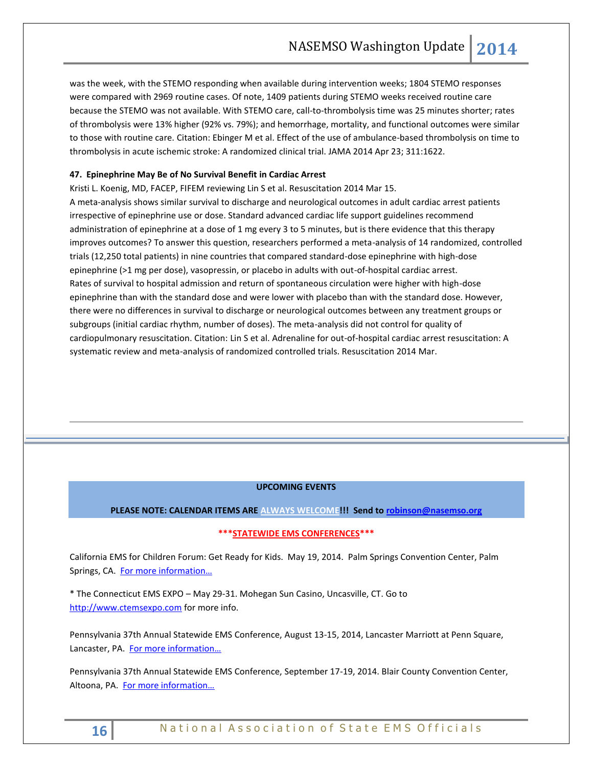was the week, with the STEMO responding when available during intervention weeks; 1804 STEMO responses were compared with 2969 routine cases. Of note, 1409 patients during STEMO weeks received routine care because the STEMO was not available. With STEMO care, call-to-thrombolysis time was 25 minutes shorter; rates of thrombolysis were 13% higher (92% vs. 79%); and hemorrhage, mortality, and functional outcomes were similar to those with routine care. Citation: Ebinger M et al. Effect of the use of ambulance-based thrombolysis on time to thrombolysis in acute ischemic stroke: A randomized clinical trial. JAMA 2014 Apr 23; 311:1622.

# **47. Epinephrine May Be of No Survival Benefit in Cardiac Arrest**

[Kristi L. Koenig, MD, FACEP, FIFEM](http://www.jwatch.org/editors/u067) reviewing Lin S et al. Resuscitation 2014 Mar 15. A meta-analysis shows similar survival to discharge and neurological outcomes in adult cardiac arrest patients irrespective of epinephrine use or dose. Standard advanced cardiac life support guidelines recommend administration of epinephrine at a dose of 1 mg every 3 to 5 minutes, but is there evidence that this therapy improves outcomes? To answer this question, researchers performed a meta-analysis of 14 randomized, controlled trials (12,250 total patients) in nine countries that compared standard-dose epinephrine with high-dose epinephrine (>1 mg per dose), vasopressin, or placebo in adults with out-of-hospital cardiac arrest. Rates of survival to hospital admission and return of spontaneous circulation were higher with high-dose epinephrine than with the standard dose and were lower with placebo than with the standard dose. However, there were no differences in survival to discharge or neurological outcomes between any treatment groups or subgroups (initial cardiac rhythm, number of doses). The meta-analysis did not control for quality of cardiopulmonary resuscitation. Citation: Lin S et al. Adrenaline for out-of-hospital cardiac arrest resuscitation: A systematic review and meta-analysis of randomized controlled trials. Resuscitation 2014 Mar.

#### **UPCOMING EVENTS**

#### **PLEASE NOTE: CALENDAR ITEMS ARE ALWAYS WELCOME!!! Send t[o robinson@nasemso.org](mailto:robinson@nasemso.org)**

# **\*\*\*STATEWIDE EMS CONFERENCES\*\*\***

California EMS for Children Forum: Get Ready for Kids. May 19, 2014. Palm Springs Convention Center, Palm Springs, CA. For more [information…](http://www.emsa.ca.gov/Media/Default/PDF/Pediatric%20EMS%20Forum.pdf)

\* The Connecticut EMS EXPO – May 29-31. Mohegan Sun Casino, Uncasville, CT. Go to [http://www.ctemsexpo.com](http://www.ctemsexpo.com/)</u> for more info.

Pennsylvania 37th Annual Statewide EMS Conference, August 13-15, 2014, Lancaster Marriott at Penn Square, Lancaster, PA. For more information...

Pennsylvania 37th Annual Statewide EMS Conference, September 17-19, 2014. Blair County Convention Center, Altoona, PA. For more information...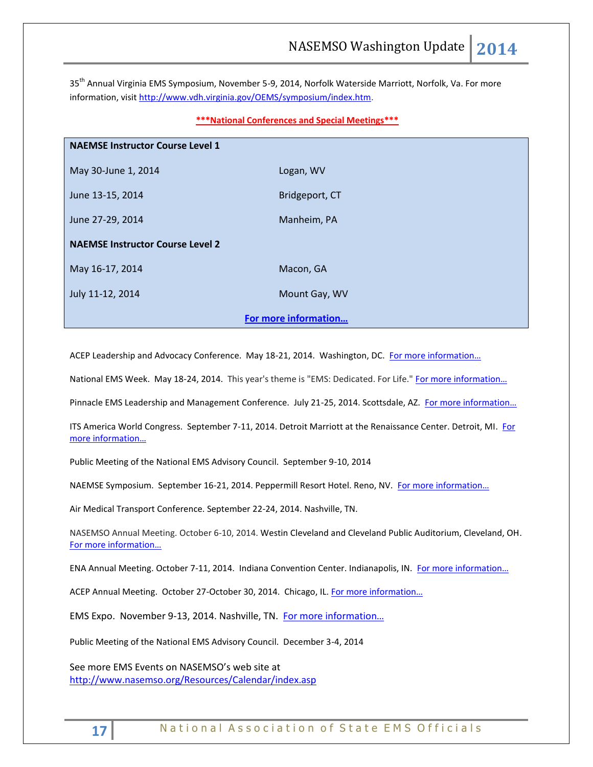35<sup>th</sup> Annual Virginia EMS Symposium, November 5-9, 2014, Norfolk Waterside Marriott, Norfolk, Va. For more information, visit [http://www.vdh.virginia.gov/OEMS/symposium/index.htm.](http://www.vdh.virginia.gov/OEMS/symposium/index.htm)

#### **\*\*\*National Conferences and Special Meetings\*\*\***

| <b>NAEMSE Instructor Course Level 1</b> |                |
|-----------------------------------------|----------------|
| May 30-June 1, 2014                     | Logan, WV      |
| June 13-15, 2014                        | Bridgeport, CT |
| June 27-29, 2014                        | Manheim, PA    |
| <b>NAEMSE Instructor Course Level 2</b> |                |
| May 16-17, 2014                         | Macon, GA      |
| July 11-12, 2014                        | Mount Gay, WV  |
| For more information                    |                |

ACEP Leadership and Advocacy Conference. May 18-21, 2014. Washington, DC. For more information...

National EMS Week. May 18-24, 2014. This year's theme is "EMS: Dedicated. For Life." For more information...

Pinnacle EMS Leadership and Management Conference. July 21-25, 2014. Scottsdale, AZ. For more information...

ITS America World Congress. September 7-11, 2014. Detroit Marriott at the Renaissance Center. Detroit, MI. [For](http://itsworldcongress.org/)  [more information…](http://itsworldcongress.org/)

Public Meeting of the National EMS Advisory Council. September 9-10, 2014

NAEMSE Symposium. September 16-21, 2014. Peppermill Resort Hotel. Reno, NV. [For more information…](http://www.naemse.org/symposium/)

Air Medical Transport Conference. September 22-24, 2014. Nashville, TN.

NASEMSO Annual Meeting. October 6-10, 2014. Westin Cleveland and Cleveland Public Auditorium, Cleveland, OH. [For more information…](http://www.nasemso.org/Meetings/Annual/AnnualMeeting2014.asp)

ENA Annual Meeting. October 7-11, 2014. Indiana Convention Center. Indianapolis, IN. For more information...

ACEP Annual Meeting. October 27-October 30, 2014. Chicago, IL. For more information...

EMS Expo. November 9-13, 2014. Nashville, TN. [For more informa](http://emsworldexpo.com/)tion...

Public Meeting of the National EMS Advisory Council. December 3-4, 2014

See more EMS Events on NASEMSO's web site at <http://www.nasemso.org/Resources/Calendar/index.asp>